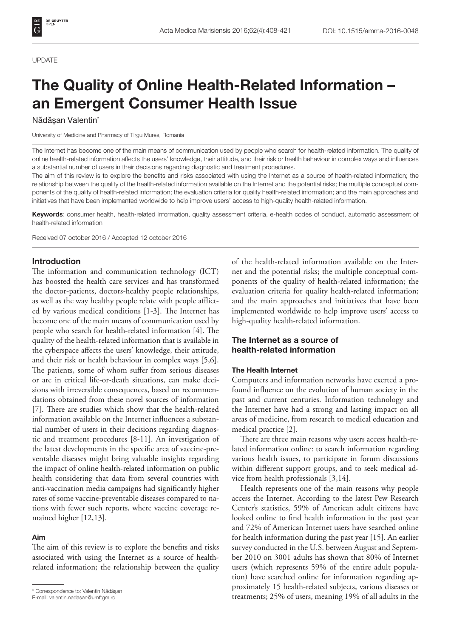#### UPDATE

# The Quality of Online Health-Related Information – an Emergent Consumer Health Issue

#### Nădășan Valentin<sup>\*</sup>

University of Medicine and Pharmacy of Tirgu Mures, Romania

The Internet has become one of the main means of communication used by people who search for health-related information. The quality of online health-related information affects the users' knowledge, their attitude, and their risk or health behaviour in complex ways and influences a substantial number of users in their decisions regarding diagnostic and treatment procedures.

The aim of this review is to explore the benefits and risks associated with using the Internet as a source of health-related information; the relationship between the quality of the health-related information available on the Internet and the potential risks; the multiple conceptual components of the quality of health-related information; the evaluation criteria for quality health-related information; and the main approaches and initiatives that have been implemented worldwide to help improve users' access to high-quality health-related information.

Keywords: consumer health, health-related information, quality assessment criteria, e-health codes of conduct, automatic assessment of health-related information

Received 07 october 2016 / Accepted 12 october 2016

## Introduction

The information and communication technology (ICT) has boosted the health care services and has transformed the doctor-patients, doctors-healthy people relationships, as well as the way healthy people relate with people afflicted by various medical conditions [1-3]. The Internet has become one of the main means of communication used by people who search for health-related information [4]. The quality of the health-related information that is available in the cyberspace affects the users' knowledge, their attitude, and their risk or health behaviour in complex ways [5,6]. The patients, some of whom suffer from serious diseases or are in critical life-or-death situations, can make decisions with irreversible consequences, based on recommendations obtained from these novel sources of information [7]. There are studies which show that the health-related information available on the Internet influences a substantial number of users in their decisions regarding diagnostic and treatment procedures [8-11]. An investigation of the latest developments in the specific area of vaccine-preventable diseases might bring valuable insights regarding the impact of online health-related information on public health considering that data from several countries with anti-vaccination media campaigns had significantly higher rates of some vaccine-preventable diseases compared to nations with fewer such reports, where vaccine coverage remained higher [12,13].

#### Aim

The aim of this review is to explore the benefits and risks associated with using the Internet as a source of healthrelated information; the relationship between the quality of the health-related information available on the Internet and the potential risks; the multiple conceptual components of the quality of health-related information; the evaluation criteria for quality health-related information; and the main approaches and initiatives that have been implemented worldwide to help improve users' access to high-quality health-related information.

# The Internet as a source of health-related information

#### The Health Internet

Computers and information networks have exerted a profound influence on the evolution of human society in the past and current centuries. Information technology and the Internet have had a strong and lasting impact on all areas of medicine, from research to medical education and medical practice [2].

There are three main reasons why users access health-related information online: to search information regarding various health issues, to participate in forum discussions within different support groups, and to seek medical advice from health professionals [3,14].

Health represents one of the main reasons why people access the Internet. According to the latest Pew Research Center's statistics, 59% of American adult citizens have looked online to find health information in the past year and 72% of American Internet users have searched online for health information during the past year [15]. An earlier survey conducted in the U.S. between August and September 2010 on 3001 adults has shown that 80% of Internet users (which represents 59% of the entire adult population) have searched online for information regarding approximately 15 health-related subjects, various diseases or torrespondence to: Valentin Nădășan<br>E-mail: valentin.nadasan@umftgm.ro<br>E-mail: valentin.nadasan@umftgm.ro

E-mail: valentin.nadasan@umftgm.ro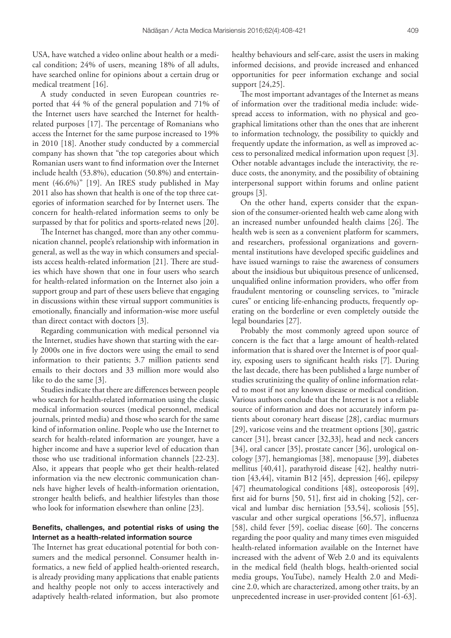USA, have watched a video online about health or a medical condition; 24% of users, meaning 18% of all adults, have searched online for opinions about a certain drug or medical treatment [16].

A study conducted in seven European countries reported that 44 % of the general population and 71% of the Internet users have searched the Internet for healthrelated purposes [17]. The percentage of Romanians who access the Internet for the same purpose increased to 19% in 2010 [18]. Another study conducted by a commercial company has shown that "the top categories about which Romanian users want to find information over the Internet include health (53.8%), education (50.8%) and entertainment (46.6%)" [19]. An IRES study published in May 2011 also has shown that health is one of the top three categories of information searched for by Internet users. The concern for health-related information seems to only be surpassed by that for politics and sports-related news [20].

The Internet has changed, more than any other communication channel, people's relationship with information in general, as well as the way in which consumers and specialists access health-related information [21]. There are studies which have shown that one in four users who search for health-related information on the Internet also join a support group and part of these users believe that engaging in discussions within these virtual support communities is emotionally, financially and information-wise more useful than direct contact with doctors [3].

Regarding communication with medical personnel via the Internet, studies have shown that starting with the early 2000s one in five doctors were using the email to send information to their patients; 3.7 million patients send emails to their doctors and 33 million more would also like to do the same [3].

Studies indicate that there are differences between people who search for health-related information using the classic medical information sources (medical personnel, medical journals, printed media) and those who search for the same kind of information online. People who use the Internet to search for health-related information are younger, have a higher income and have a superior level of education than those who use traditional information channels [22-23]. Also, it appears that people who get their health-related information via the new electronic communication channels have higher levels of health-information orientation, stronger health beliefs, and healthier lifestyles than those who look for information elsewhere than online [23].

# Benefits, challenges, and potential risks of using the Internet as a health-related information source

The Internet has great educational potential for both consumers and the medical personnel. Consumer health informatics, a new field of applied health-oriented research, is already providing many applications that enable patients and healthy people not only to access interactively and adaptively health-related information, but also promote

healthy behaviours and self-care, assist the users in making informed decisions, and provide increased and enhanced opportunities for peer information exchange and social support [24,25].

The most important advantages of the Internet as means of information over the traditional media include: widespread access to information, with no physical and geographical limitations other than the ones that are inherent to information technology, the possibility to quickly and frequently update the information, as well as improved access to personalized medical information upon request [3]. Other notable advantages include the interactivity, the reduce costs, the anonymity, and the possibility of obtaining interpersonal support within forums and online patient groups [3].

On the other hand, experts consider that the expansion of the consumer-oriented health web came along with an increased number unfounded health claims [26]. The health web is seen as a convenient platform for scammers, and researchers, professional organizations and governmental institutions have developed specific guidelines and have issued warnings to raise the awareness of consumers about the insidious but ubiquitous presence of unlicensed, unqualified online information providers, who offer from fraudulent mentoring or counseling services, to "miracle cures" or enticing life-enhancing products, frequently operating on the borderline or even completely outside the legal boundaries [27].

Probably the most commonly agreed upon source of concern is the fact that a large amount of health-related information that is shared over the Internet is of poor quality, exposing users to significant health risks [7]. During the last decade, there has been published a large number of studies scrutinizing the quality of online information related to most if not any known disease or medical condition. Various authors conclude that the Internet is not a reliable source of information and does not accurately inform patients about coronary heart disease [28], cardiac murmurs [29], varicose veins and the treatment options [30], gastric cancer [31], breast cancer [32,33], head and neck cancers [34], oral cancer [35], prostate cancer [36], urological oncology [37], hemangiomas [38], menopause [39], diabetes mellitus [40,41], parathyroid disease [42], healthy nutrition [43,44], vitamin B12 [45], depression [46], epilepsy [47] rheumatological conditions [48], osteoporosis [49], first aid for burns [50, 51], first aid in choking [52], cervical and lumbar disc herniation [53,54], scoliosis [55], vascular and other surgical operations [56,57], influenza [58], child fever [59], coeliac disease [60]. The concerns regarding the poor quality and many times even misguided health-related information available on the Internet have increased with the advent of Web 2.0 and its equivalents in the medical field (health blogs, health-oriented social media groups, YouTube), namely Health 2.0 and Medicine 2.0, which are characterized, among other traits, by an unprecedented increase in user-provided content [61-63].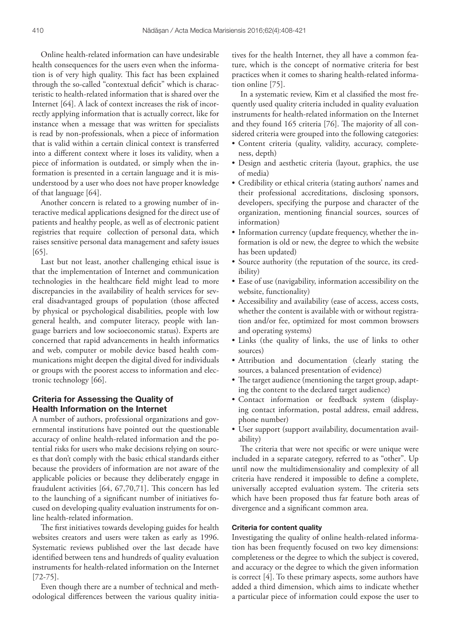Online health-related information can have undesirable health consequences for the users even when the information is of very high quality. This fact has been explained through the so-called "contextual deficit" which is characteristic to health-related information that is shared over the Internet [64]. A lack of context increases the risk of incorrectly applying information that is actually correct, like for instance when a message that was written for specialists is read by non-professionals, when a piece of information that is valid within a certain clinical context is transferred into a different context where it loses its validity, when a piece of information is outdated, or simply when the information is presented in a certain language and it is misunderstood by a user who does not have proper knowledge of that language [64].

Another concern is related to a growing number of interactive medical applications designed for the direct use of patients and healthy people, as well as of electronic patient registries that require collection of personal data, which raises sensitive personal data management and safety issues [65].

Last but not least, another challenging ethical issue is that the implementation of Internet and communication technologies in the healthcare field might lead to more discrepancies in the availability of health services for several disadvantaged groups of population (those affected by physical or psychological disabilities, people with low general health, and computer literacy, people with language barriers and low socioeconomic status). Experts are concerned that rapid advancements in health informatics and web, computer or mobile device based health communications might deepen the digital dived for individuals or groups with the poorest access to information and electronic technology [66].

# Criteria for Assessing the Quality of Health Information on the Internet

A number of authors, professional organizations and governmental institutions have pointed out the questionable accuracy of online health-related information and the potential risks for users who make decisions relying on sources that don't comply with the basic ethical standards either because the providers of information are not aware of the applicable policies or because they deliberately engage in fraudulent activities [64, 67,70,71]. This concern has led to the launching of a significant number of initiatives focused on developing quality evaluation instruments for online health-related information.

The first initiatives towards developing guides for health websites creators and users were taken as early as 1996. Systematic reviews published over the last decade have identified between tens and hundreds of quality evaluation instruments for health-related information on the Internet [72-75].

Even though there are a number of technical and methodological differences between the various quality initiatives for the health Internet, they all have a common feature, which is the concept of normative criteria for best practices when it comes to sharing health-related information online [75].

In a systematic review, Kim et al classified the most frequently used quality criteria included in quality evaluation instruments for health-related information on the Internet and they found 165 criteria [76]. The majority of all considered criteria were grouped into the following categories:

- • Content criteria (quality, validity, accuracy, completeness, depth)
- • Design and aesthetic criteria (layout, graphics, the use of media)
- • Credibility or ethical criteria (stating authors' names and their professional accreditations, disclosing sponsors, developers, specifying the purpose and character of the organization, mentioning financial sources, sources of information)
- Information currency (update frequency, whether the information is old or new, the degree to which the website has been updated)
- Source authority (the reputation of the source, its credibility)
- • Ease of use (navigability, information accessibility on the website, functionality)
- • Accessibility and availability (ease of access, access costs, whether the content is available with or without registration and/or fee, optimized for most common browsers and operating systems)
- • Links (the quality of links, the use of links to other sources)
- • Attribution and documentation (clearly stating the sources, a balanced presentation of evidence)
- The target audience (mentioning the target group, adapting the content to the declared target audience)
- • Contact information or feedback system (displaying contact information, postal address, email address, phone number)
- User support (support availability, documentation availability)

The criteria that were not specific or were unique were included in a separate category, referred to as "other". Up until now the multidimensionality and complexity of all criteria have rendered it impossible to define a complete, universally accepted evaluation system. The criteria sets which have been proposed thus far feature both areas of divergence and a significant common area.

## Criteria for content quality

Investigating the quality of online health-related information has been frequently focused on two key dimensions: completeness or the degree to which the subject is covered, and accuracy or the degree to which the given information is correct [4]. To these primary aspects, some authors have added a third dimension, which aims to indicate whether a particular piece of information could expose the user to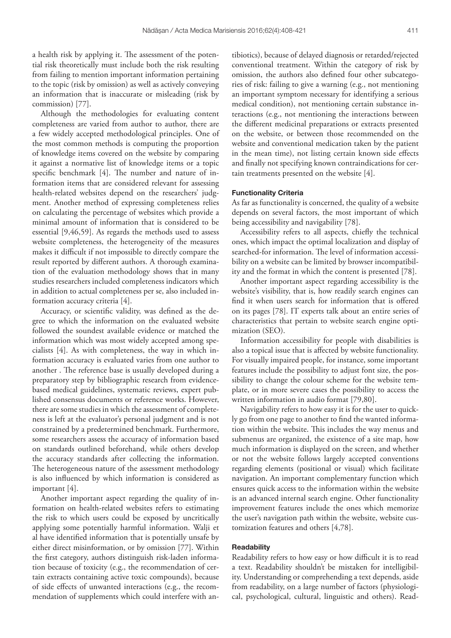a health risk by applying it. The assessment of the potential risk theoretically must include both the risk resulting from failing to mention important information pertaining to the topic (risk by omission) as well as actively conveying an information that is inaccurate or misleading (risk by commission) [77].

Although the methodologies for evaluating content completeness are varied from author to author, there are a few widely accepted methodological principles. One of the most common methods is computing the proportion of knowledge items covered on the website by comparing it against a normative list of knowledge items or a topic specific benchmark [4]. The number and nature of information items that are considered relevant for assessing health-related websites depend on the researchers' judgment. Another method of expressing completeness relies on calculating the percentage of websites which provide a minimal amount of information that is considered to be essential [9,46,59]. As regards the methods used to assess website completeness, the heterogeneity of the measures makes it difficult if not impossible to directly compare the result reported by different authors. A thorough examination of the evaluation methodology shows that in many studies researchers included completeness indicators which in addition to actual completeness per se, also included information accuracy criteria [4].

Accuracy, or scientific validity, was defined as the degree to which the information on the evaluated website followed the soundest available evidence or matched the information which was most widely accepted among specialists [4]. As with completeness, the way in which information accuracy is evaluated varies from one author to another . The reference base is usually developed during a preparatory step by bibliographic research from evidencebased medical guidelines, systematic reviews, expert published consensus documents or reference works. However, there are some studies in which the assessment of completeness is left at the evaluator's personal judgment and is not constrained by a predetermined benchmark. Furthermore, some researchers assess the accuracy of information based on standards outlined beforehand, while others develop the accuracy standards after collecting the information. The heterogeneous nature of the assessment methodology is also influenced by which information is considered as important [4].

Another important aspect regarding the quality of information on health-related websites refers to estimating the risk to which users could be exposed by uncritically applying some potentially harmful information. Walji et al have identified information that is potentially unsafe by either direct misinformation, or by omission [77]. Within the first category, authors distinguish risk-laden information because of toxicity (e.g., the recommendation of certain extracts containing active toxic compounds), because of side effects of unwanted interactions (e.g., the recommendation of supplements which could interfere with an-

tibiotics), because of delayed diagnosis or retarded/rejected conventional treatment. Within the category of risk by omission, the authors also defined four other subcategories of risk: failing to give a warning (e.g., not mentioning an important symptom necessary for identifying a serious medical condition), not mentioning certain substance interactions (e.g., not mentioning the interactions between the different medicinal preparations or extracts presented on the website, or between those recommended on the website and conventional medication taken by the patient in the mean time), not listing certain known side effects and finally not specifying known contraindications for certain treatments presented on the website [4].

#### Functionality Criteria

As far as functionality is concerned, the quality of a website depends on several factors, the most important of which being accessibility and navigability [78].

Accessibility refers to all aspects, chiefly the technical ones, which impact the optimal localization and display of searched-for information. The level of information accessibility on a website can be limited by browser incompatibility and the format in which the content is presented [78].

Another important aspect regarding accessibility is the website's visibility, that is, how readily search engines can find it when users search for information that is offered on its pages [78]. IT experts talk about an entire series of characteristics that pertain to website search engine optimization (SEO).

Information accessibility for people with disabilities is also a topical issue that is affected by website functionality. For visually impaired people, for instance, some important features include the possibility to adjust font size, the possibility to change the colour scheme for the website template, or in more severe cases the possibility to access the written information in audio format [79,80].

Navigability refers to how easy it is for the user to quickly go from one page to another to find the wanted information within the website. This includes the way menus and submenus are organized, the existence of a site map, how much information is displayed on the screen, and whether or not the website follows largely accepted conventions regarding elements (positional or visual) which facilitate navigation. An important complementary function which ensures quick access to the information within the website is an advanced internal search engine. Other functionality improvement features include the ones which memorize the user's navigation path within the website, website customization features and others [4,78].

### **Readability**

Readability refers to how easy or how difficult it is to read a text. Readability shouldn't be mistaken for intelligibility. Understanding or comprehending a text depends, aside from readability, on a large number of factors (physiological, psychological, cultural, linguistic and others). Read-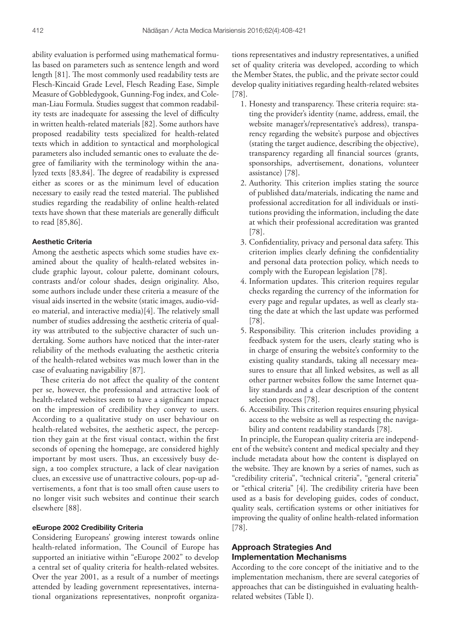ability evaluation is performed using mathematical formulas based on parameters such as sentence length and word length [81]. The most commonly used readability tests are Flesch-Kincaid Grade Level, Flesch Reading Ease, Simple Measure of Gobbledygook, Gunning-Fog index, and Coleman-Liau Formula. Studies suggest that common readability tests are inadequate for assessing the level of difficulty in written health-related materials [82]. Some authors have proposed readability tests specialized for health-related texts which in addition to syntactical and morphological parameters also included semantic ones to evaluate the degree of familiarity with the terminology within the analyzed texts [83,84]. The degree of readability is expressed either as scores or as the minimum level of education necessary to easily read the tested material. The published studies regarding the readability of online health-related texts have shown that these materials are generally difficult to read [85,86].

#### Aesthetic Criteria

Among the aesthetic aspects which some studies have examined about the quality of health-related websites include graphic layout, colour palette, dominant colours, contrasts and/or colour shades, design originality. Also, some authors include under these criteria a measure of the visual aids inserted in the website (static images, audio-video material, and interactive media)[4]. The relatively small number of studies addressing the aesthetic criteria of quality was attributed to the subjective character of such undertaking. Some authors have noticed that the inter-rater reliability of the methods evaluating the aesthetic criteria of the health-related websites was much lower than in the case of evaluating navigability [87].

These criteria do not affect the quality of the content per se, however, the professional and attractive look of health-related websites seem to have a significant impact on the impression of credibility they convey to users. According to a qualitative study on user behaviour on health-related websites, the aesthetic aspect, the perception they gain at the first visual contact, within the first seconds of opening the homepage, are considered highly important by most users. Thus, an excessively busy design, a too complex structure, a lack of clear navigation clues, an excessive use of unattractive colours, pop-up advertisements, a font that is too small often cause users to no longer visit such websites and continue their search elsewhere [88].

## eEurope 2002 Credibility Criteria

Considering Europeans' growing interest towards online health-related information, The Council of Europe has supported an initiative within "eEurope 2002" to develop a central set of quality criteria for health-related websites. Over the year 2001, as a result of a number of meetings attended by leading government representatives, international organizations representatives, nonprofit organiza-

tions representatives and industry representatives, a unified set of quality criteria was developed, according to which the Member States, the public, and the private sector could develop quality initiatives regarding health-related websites [78].

- 1. Honesty and transparency. These criteria require: stating the provider's identity (name, address, email, the website manager's/representative's address), transparency regarding the website's purpose and objectives (stating the target audience, describing the objective), transparency regarding all financial sources (grants, sponsorships, advertisement, donations, volunteer assistance) [78].
- 2. Authority. This criterion implies stating the source of published data/materials, indicating the name and professional accreditation for all individuals or institutions providing the information, including the date at which their professional accreditation was granted [78].
- 3. Confidentiality, privacy and personal data safety. This criterion implies clearly defining the confidentiality and personal data protection policy, which needs to comply with the European legislation [78].
- 4. Information updates. This criterion requires regular checks regarding the currency of the information for every page and regular updates, as well as clearly stating the date at which the last update was performed [78].
- 5. Responsibility. This criterion includes providing a feedback system for the users, clearly stating who is in charge of ensuring the website's conformity to the existing quality standards, taking all necessary measures to ensure that all linked websites, as well as all other partner websites follow the same Internet quality standards and a clear description of the content selection process [78].
- 6. Accessibility. This criterion requires ensuring physical access to the website as well as respecting the navigability and content readability standards [78].

In principle, the European quality criteria are independent of the website's content and medical specialty and they include metadata about how the content is displayed on the website. They are known by a series of names, such as "credibility criteria", "technical criteria", "general criteria" or "ethical criteria" [4]. The credibility criteria have been used as a basis for developing guides, codes of conduct, quality seals, certification systems or other initiatives for improving the quality of online health-related information [78].

# Approach Strategies And Implementation Mechanisms

According to the core concept of the initiative and to the implementation mechanism, there are several categories of approaches that can be distinguished in evaluating healthrelated websites (Table I).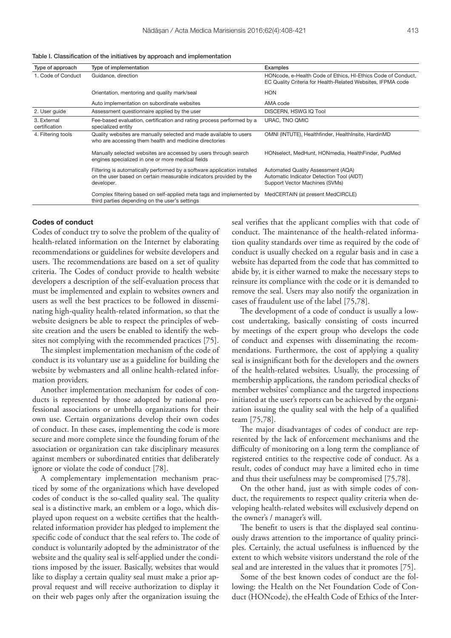| Type of approach             | Type of implementation                                                                                                                                       | Examples                                                                                                                    |
|------------------------------|--------------------------------------------------------------------------------------------------------------------------------------------------------------|-----------------------------------------------------------------------------------------------------------------------------|
| 1. Code of Conduct           | Guidance, direction                                                                                                                                          | HONcode, e-Health Code of Ethics, HI-Ethics Code of Conduct,<br>EC Quality Criteria for Health-Related Websites, IFPMA code |
|                              | Orientation, mentoring and quality mark/seal                                                                                                                 | <b>HON</b>                                                                                                                  |
|                              | Auto implementation on subordinate websites                                                                                                                  | AMA code                                                                                                                    |
| 2. User quide                | Assessment questionnaire applied by the user                                                                                                                 | DISCERN, HSWG IQ Tool                                                                                                       |
| 3. External<br>certification | Fee-based evaluation, certification and rating process performed by a<br>specialized entity                                                                  | URAC, TNO QMIC                                                                                                              |
| 4. Filtering tools           | Quality websites are manually selected and made available to users<br>who are accessing them health and medicine directories                                 | OMNI (INTUTE), Healthfinder, HealthInsite, HardinMD                                                                         |
|                              | Manually selected websites are accessed by users through search<br>engines specialized in one or more medical fields                                         | HONselect, MedHunt, HONmedia, HealthFinder, PudMed                                                                          |
|                              | Filtering is automatically performed by a software application installed<br>on the user based on certain measurable indicators provided by the<br>developer. | Automated Quality Assessment (AQA)<br>Automatic Indicator Detection Tool (AIDT)<br>Support Vector Machines (SVMs)           |
|                              | Complex filtering based on self-applied meta tags and implemented by<br>third parties depending on the user's settings                                       | MedCERTAIN (at present MedCIRCLE)                                                                                           |

## Codes of conduct

Codes of conduct try to solve the problem of the quality of health-related information on the Internet by elaborating recommendations or guidelines for website developers and users. The recommendations are based on a set of quality criteria. The Codes of conduct provide to health website developers a description of the self-evaluation process that must be implemented and explain to websites owners and users as well the best practices to be followed in disseminating high-quality health-related information, so that the website designers be able to respect the principles of website creation and the users be enabled to identify the websites not complying with the recommended practices [75].

The simplest implementation mechanism of the code of conduct is its voluntary use as a guideline for building the website by webmasters and all online health-related information providers.

Another implementation mechanism for codes of conducts is represented by those adopted by national professional associations or umbrella organizations for their own use. Certain organizations develop their own codes of conduct. In these cases, implementing the code is more secure and more complete since the founding forum of the association or organization can take disciplinary measures against members or subordinated entities that deliberately ignore or violate the code of conduct [78].

A complementary implementation mechanism practiced by some of the organizations which have developed codes of conduct is the so-called quality seal. The quality seal is a distinctive mark, an emblem or a logo, which displayed upon request on a website certifies that the healthrelated information provider has pledged to implement the specific code of conduct that the seal refers to. The code of conduct is voluntarily adopted by the administrator of the website and the quality seal is self-applied under the conditions imposed by the issuer. Basically, websites that would like to display a certain quality seal must make a prior approval request and will receive authorization to display it on their web pages only after the organization issuing the

seal verifies that the applicant complies with that code of conduct. The maintenance of the health-related information quality standards over time as required by the code of conduct is usually checked on a regular basis and in case a website has departed from the code that has committed to abide by, it is either warned to make the necessary steps to reinsure its compliance with the code or it is demanded to remove the seal. Users may also notify the organization in cases of fraudulent use of the label [75,78].

The development of a code of conduct is usually a lowcost undertaking, basically consisting of costs incurred by meetings of the expert group who develops the code of conduct and expenses with disseminating the recommendations. Furthermore, the cost of applying a quality seal is insignificant both for the developers and the owners of the health-related websites. Usually, the processing of membership applications, the random periodical checks of member websites' compliance and the targeted inspections initiated at the user's reports can be achieved by the organization issuing the quality seal with the help of a qualified team [75,78].

The major disadvantages of codes of conduct are represented by the lack of enforcement mechanisms and the difficulty of monitoring on a long term the compliance of registered entities to the respective code of conduct. As a result, codes of conduct may have a limited echo in time and thus their usefulness may be compromised [75,78].

On the other hand, just as with simple codes of conduct, the requirements to respect quality criteria when developing health-related websites will exclusively depend on the owner's / manager's will.

The benefit to users is that the displayed seal continuously draws attention to the importance of quality principles. Certainly, the actual usefulness is influenced by the extent to which website visitors understand the role of the seal and are interested in the values that it promotes [75].

Some of the best known codes of conduct are the following: the Health on the Net Foundation Code of Conduct (HONcode), the eHealth Code of Ethics of the Inter-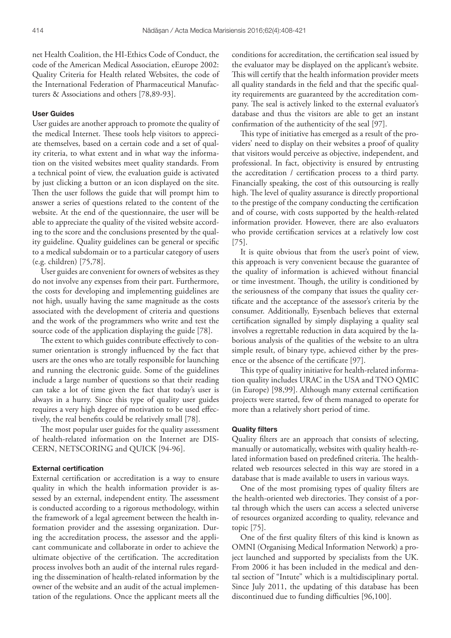net Health Coalition, the HI-Ethics Code of Conduct, the code of the American Medical Association, eEurope 2002: Quality Criteria for Health related Websites, the code of the International Federation of Pharmaceutical Manufacturers & Associations and others [78,89-93].

#### User Guides

User guides are another approach to promote the quality of the medical Internet. These tools help visitors to appreciate themselves, based on a certain code and a set of quality criteria, to what extent and in what way the information on the visited websites meet quality standards. From a technical point of view, the evaluation guide is activated by just clicking a button or an icon displayed on the site. Then the user follows the guide that will prompt him to answer a series of questions related to the content of the website. At the end of the questionnaire, the user will be able to appreciate the quality of the visited website according to the score and the conclusions presented by the quality guideline. Quality guidelines can be general or specific to a medical subdomain or to a particular category of users (e.g. children) [75,78].

User guides are convenient for owners of websites as they do not involve any expenses from their part. Furthermore, the costs for developing and implementing guidelines are not high, usually having the same magnitude as the costs associated with the development of criteria and questions and the work of the programmers who write and test the source code of the application displaying the guide [78].

The extent to which guides contribute effectively to consumer orientation is strongly influenced by the fact that users are the ones who are totally responsible for launching and running the electronic guide. Some of the guidelines include a large number of questions so that their reading can take a lot of time given the fact that today's user is always in a hurry. Since this type of quality user guides requires a very high degree of motivation to be used effectively, the real benefits could be relatively small [78].

The most popular user guides for the quality assessment of health-related information on the Internet are DIS-CERN, NETSCORING and QUICK [94-96].

## External certification

External certification or accreditation is a way to ensure quality in which the health information provider is assessed by an external, independent entity. The assessment is conducted according to a rigorous methodology, within the framework of a legal agreement between the health information provider and the assessing organization. During the accreditation process, the assessor and the applicant communicate and collaborate in order to achieve the ultimate objective of the certification. The accreditation process involves both an audit of the internal rules regarding the dissemination of health-related information by the owner of the website and an audit of the actual implementation of the regulations. Once the applicant meets all the

conditions for accreditation, the certification seal issued by the evaluator may be displayed on the applicant's website. This will certify that the health information provider meets all quality standards in the field and that the specific quality requirements are guaranteed by the accreditation company. The seal is actively linked to the external evaluator's database and thus the visitors are able to get an instant confirmation of the authenticity of the seal [97].

This type of initiative has emerged as a result of the providers' need to display on their websites a proof of quality that visitors would perceive as objective, independent, and professional. In fact, objectivity is ensured by entrusting the accreditation / certification process to a third party. Financially speaking, the cost of this outsourcing is really high. The level of quality assurance is directly proportional to the prestige of the company conducting the certification and of course, with costs supported by the health-related information provider. However, there are also evaluators who provide certification services at a relatively low cost [75].

It is quite obvious that from the user's point of view, this approach is very convenient because the guarantee of the quality of information is achieved without financial or time investment. Though, the utility is conditioned by the seriousness of the company that issues the quality certificate and the acceptance of the assessor's criteria by the consumer. Additionally, Eysenbach believes that external certification signalled by simply displaying a quality seal involves a regrettable reduction in data acquired by the laborious analysis of the qualities of the website to an ultra simple result, of binary type, achieved either by the presence or the absence of the certificate [97].

This type of quality initiative for health-related information quality includes URAC in the USA and TNO QMIC (in Europe) [98,99]. Although many external certification projects were started, few of them managed to operate for more than a relatively short period of time.

#### Quality filters

Quality filters are an approach that consists of selecting, manually or automatically, websites with quality health-related information based on predefined criteria. The healthrelated web resources selected in this way are stored in a database that is made available to users in various ways.

One of the most promising types of quality filters are the health-oriented web directories. They consist of a portal through which the users can access a selected universe of resources organized according to quality, relevance and topic [75].

One of the first quality filters of this kind is known as OMNI (Organising Medical Information Network) a project launched and supported by specialists from the UK. From 2006 it has been included in the medical and dental section of "Intute" which is a multidisciplinary portal. Since July 2011, the updating of this database has been discontinued due to funding difficulties [96,100].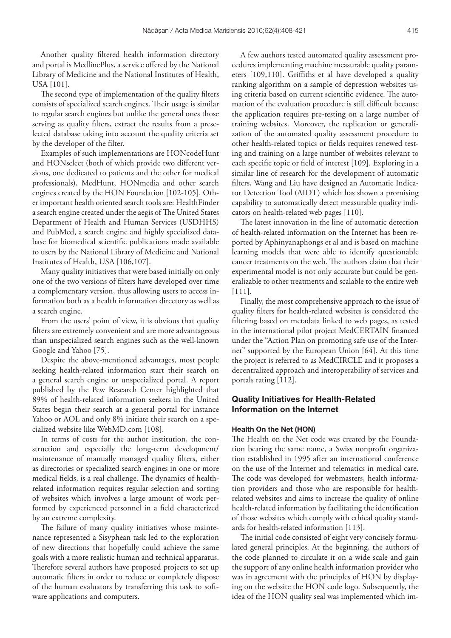Another quality filtered health information directory and portal is MedlinePlus, a service offered by the National Library of Medicine and the National Institutes of Health, USA [101].

The second type of implementation of the quality filters consists of specialized search engines. Their usage is similar to regular search engines but unlike the general ones those serving as quality filters, extract the results from a preselected database taking into account the quality criteria set by the developer of the filter.

Examples of such implementations are HONcodeHunt and HONselect (both of which provide two different versions, one dedicated to patients and the other for medical professionals), MedHunt, HONmedia and other search engines created by the HON Foundation [102-105]. Other important health oriented search tools are: HealthFinder a search engine created under the aegis of The United States Department of Health and Human Services (USDHHS) and PubMed, a search engine and highly specialized database for biomedical scientific publications made available to users by the National Library of Medicine and National Institutes of Health, USA [106,107].

Many quality initiatives that were based initially on only one of the two versions of filters have developed over time a complementary version, thus allowing users to access information both as a health information directory as well as a search engine.

From the users' point of view, it is obvious that quality filters are extremely convenient and are more advantageous than unspecialized search engines such as the well-known Google and Yahoo [75].

Despite the above-mentioned advantages, most people seeking health-related information start their search on a general search engine or unspecialized portal. A report published by the Pew Research Center highlighted that 89% of health-related information seekers in the United States begin their search at a general portal for instance Yahoo or AOL and only 8% initiate their search on a specialized website like WebMD.com [108].

In terms of costs for the author institution, the construction and especially the long-term development/ maintenance of manually managed quality filters, either as directories or specialized search engines in one or more medical fields, is a real challenge. The dynamics of healthrelated information requires regular selection and sorting of websites which involves a large amount of work performed by experienced personnel in a field characterized by an extreme complexity.

The failure of many quality initiatives whose maintenance represented a Sisyphean task led to the exploration of new directions that hopefully could achieve the same goals with a more realistic human and technical apparatus. Therefore several authors have proposed projects to set up automatic filters in order to reduce or completely dispose of the human evaluators by transferring this task to software applications and computers.

A few authors tested automated quality assessment procedures implementing machine measurable quality parameters [109,110]. Griffiths et al have developed a quality ranking algorithm on a sample of depression websites using criteria based on current scientific evidence. The automation of the evaluation procedure is still difficult because the application requires pre-testing on a large number of training websites. Moreover, the replication or generalization of the automated quality assessment procedure to other health-related topics or fields requires renewed testing and training on a large number of websites relevant to each specific topic or field of interest [109]. Exploring in a similar line of research for the development of automatic filters, Wang and Liu have designed an Automatic Indicator Detection Tool (AIDT) which has shown a promising capability to automatically detect measurable quality indicators on health-related web pages [110].

The latest innovation in the line of automatic detection of health-related information on the Internet has been reported by Aphinyanaphongs et al and is based on machine learning models that were able to identify questionable cancer treatments on the web. The authors claim that their experimental model is not only accurate but could be generalizable to other treatments and scalable to the entire web [111].

Finally, the most comprehensive approach to the issue of quality filters for health-related websites is considered the filtering based on metadata linked to web pages, as tested in the international pilot project MedCERTAIN financed under the "Action Plan on promoting safe use of the Internet" supported by the European Union [64]. At this time the project is referred to as MedCIRCLE and it proposes a decentralized approach and interoperability of services and portals rating [112].

# Quality Initiatives for Health-Related Information on the Internet

#### Health On the Net (HON)

The Health on the Net code was created by the Foundation bearing the same name, a Swiss nonprofit organization established in 1995 after an international conference on the use of the Internet and telematics in medical care. The code was developed for webmasters, health information providers and those who are responsible for healthrelated websites and aims to increase the quality of online health-related information by facilitating the identification of those websites which comply with ethical quality standards for health-related information [113].

The initial code consisted of eight very concisely formulated general principles. At the beginning, the authors of the code planned to circulate it on a wide scale and gain the support of any online health information provider who was in agreement with the principles of HON by displaying on the website the HON code logo. Subsequently, the idea of the HON quality seal was implemented which im-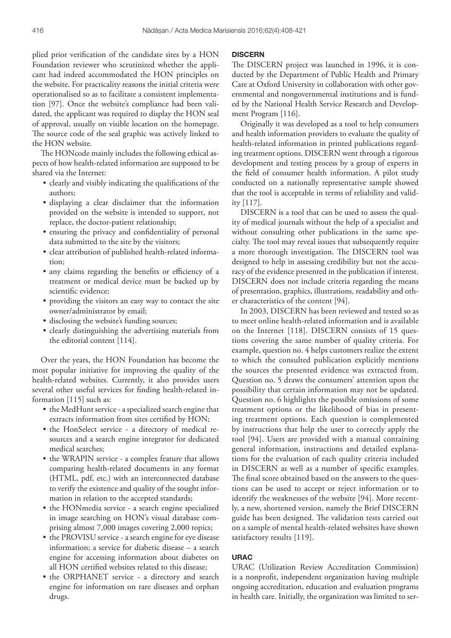plied prior verification of the candidate sites by a HON Foundation reviewer who scrutinized whether the applicant had indeed accommodated the HON principles on the website. For practicality reasons the initial criteria were operationalised so as to facilitate a consistent implementation [97]. Once the website's compliance had been validated, the applicant was required to display the HON seal of approval, usually on visible location on the homepage. The source code of the seal graphic was actively linked to the HON website.

The HONcode mainly includes the following ethical aspects of how health-related information are supposed to be shared via the Internet:

- clearly and visibly indicating the qualifications of the authors;
- • displaying a clear disclaimer that the information provided on the website is intended to support, not replace, the doctor-patient relationship;
- • ensuring the privacy and confidentiality of personal data submitted to the site by the visitors;
- • clear attribution of published health-related information;
- any claims regarding the benefits or efficiency of a treatment or medical device must be backed up by scientific evidence;
- providing the visitors an easy way to contact the site owner/administrator by email;
- disclosing the website's funding sources;
- clearly distinguishing the advertising materials from the editorial content [114].

Over the years, the HON Foundation has become the most popular initiative for improving the quality of the health-related websites. Currently, it also provides users several other useful services for finding health-related information [115] such as:

- the MedHunt service a specialized search engine that extracts information from sites certified by HON;
- the HonSelect service a directory of medical resources and a search engine integrator for dedicated medical searches;
- the WRAPIN service a complex feature that allows comparing health-related documents in any format (HTML, pdf, etc.) with an interconnected database to verify the existence and quality of the sought information in relation to the accepted standards;
- the HONmedia service a search engine specialized in image searching on HON's visual database comprising almost 7,000 images covering 2,000 topics;
- the PROVISU service a search engine for eye disease information; a service for diabetic disease – a search engine for accessing information about diabetes on all HON certified websites related to this disease;
- the ORPHANET service a directory and search engine for information on rare diseases and orphan drugs.

#### **DISCERN**

The DISCERN project was launched in 1996, it is conducted by the Department of Public Health and Primary Care at Oxford University in collaboration with other governmental and nongovernmental institutions and is funded by the National Health Service Research and Development Program [116].

Originally it was developed as a tool to help consumers and health information providers to evaluate the quality of health-related information in printed publications regarding treatment options. DISCERN went through a rigorous development and testing process by a group of experts in the field of consumer health information. A pilot study conducted on a nationally representative sample showed that the tool is acceptable in terms of reliability and validity [117].

DISCERN is a tool that can be used to assess the quality of medical journals without the help of a specialist and without consulting other publications in the same specialty. The tool may reveal issues that subsequently require a more thorough investigation. The DISCERN tool was designed to help in assessing credibility but not the accuracy of the evidence presented in the publication if interest. DISCERN does not include criteria regarding the means of presentation, graphics, illustrations, readability and other characteristics of the content [94].

In 2003, DISCERN has been reviewed and tested so as to meet online health-related information and is available on the Internet [118]. DISCERN consists of 15 questions covering the same number of quality criteria. For example, question no. 4 helps customers realize the extent to which the consulted publication explicitly mentions the sources the presented evidence was extracted from. Question no. 5 draws the consumers' attention upon the possibility that certain information may not be updated. Question no. 6 highlights the possible omissions of some treatment options or the likelihood of bias in presenting treatment options. Each question is complemented by instructions that help the user to correctly apply the tool [94]. Users are provided with a manual containing general information, instructions and detailed explanations for the evaluation of each quality criteria included in DISCERN as well as a number of specific examples. The final score obtained based on the answers to the questions can be used to accept or reject information or to identify the weaknesses of the website [94]. More recently, a new, shortened version, namely the Brief DISCERN guide has been designed. The validation tests carried out on a sample of mental health-related websites have shown satisfactory results [119].

#### URAC

URAC (Utilization Review Accreditation Commission) is a nonprofit, independent organization having multiple ongoing accreditation, education and evaluation programs in health care. Initially, the organization was limited to ser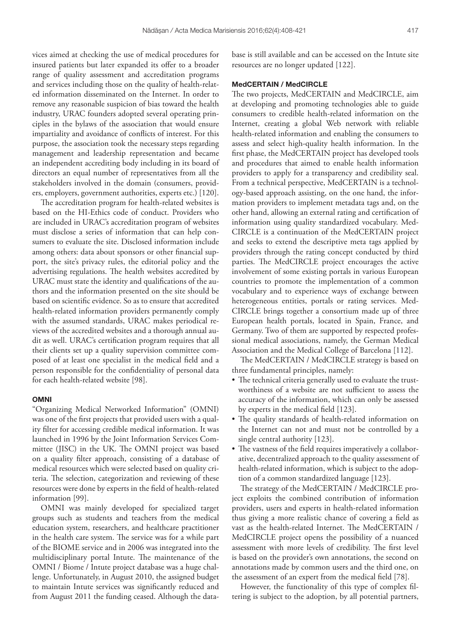vices aimed at checking the use of medical procedures for insured patients but later expanded its offer to a broader range of quality assessment and accreditation programs and services including those on the quality of health-related information disseminated on the Internet. In order to remove any reasonable suspicion of bias toward the health industry, URAC founders adopted several operating principles in the bylaws of the association that would ensure impartiality and avoidance of conflicts of interest. For this purpose, the association took the necessary steps regarding management and leadership representation and became an independent accrediting body including in its board of directors an equal number of representatives from all the stakeholders involved in the domain (consumers, providers, employers, government authorities, experts etc.) [120].

The accreditation program for health-related websites is based on the HI-Ethics code of conduct. Providers who are included in URAC's accreditation program of websites must disclose a series of information that can help consumers to evaluate the site. Disclosed information include among others: data about sponsors or other financial support, the site's privacy rules, the editorial policy and the advertising regulations. The health websites accredited by URAC must state the identity and qualifications of the authors and the information presented on the site should be based on scientific evidence. So as to ensure that accredited health-related information providers permanently comply with the assumed standards, URAC makes periodical reviews of the accredited websites and a thorough annual audit as well. URAC's certification program requires that all their clients set up a quality supervision committee composed of at least one specialist in the medical field and a person responsible for the confidentiality of personal data for each health-related website [98].

#### OMNI

"Organizing Medical Networked Information" (OMNI) was one of the first projects that provided users with a quality filter for accessing credible medical information. It was launched in 1996 by the Joint Information Services Committee (JISC) in the UK. The OMNI project was based on a quality filter approach, consisting of a database of medical resources which were selected based on quality criteria. The selection, categorization and reviewing of these resources were done by experts in the field of health-related information [99].

OMNI was mainly developed for specialized target groups such as students and teachers from the medical education system, researchers, and healthcare practitioner in the health care system. The service was for a while part of the BIOME service and in 2006 was integrated into the multidisciplinary portal Intute. The maintenance of the OMNI / Biome / Intute project database was a huge challenge. Unfortunately, in August 2010, the assigned budget to maintain Intute services was significantly reduced and from August 2011 the funding ceased. Although the data-

base is still available and can be accessed on the Intute site resources are no longer updated [122].

#### MedCERTAIN / MedCIRCLE

The two projects, MedCERTAIN and MedCIRCLE, aim at developing and promoting technologies able to guide consumers to credible health-related information on the Internet, creating a global Web network with reliable health-related information and enabling the consumers to assess and select high-quality health information. In the first phase, the MedCERTAIN project has developed tools and procedures that aimed to enable health information providers to apply for a transparency and credibility seal. From a technical perspective, MedCERTAIN is a technology-based approach assisting, on the one hand, the information providers to implement metadata tags and, on the other hand, allowing an external rating and certification of information using quality standardized vocabulary. Med-CIRCLE is a continuation of the MedCERTAIN project and seeks to extend the descriptive meta tags applied by providers through the rating concept conducted by third parties. The MedCIRCLE project encourages the active involvement of some existing portals in various European countries to promote the implementation of a common vocabulary and to experience ways of exchange between heterogeneous entities, portals or rating services. Med-CIRCLE brings together a consortium made up of three European health portals, located in Spain, France, and Germany. Two of them are supported by respected professional medical associations, namely, the German Medical Association and the Medical College of Barcelona [112].

The MedCERTAIN / MedCIRCLE strategy is based on three fundamental principles, namely:

- The technical criteria generally used to evaluate the trustworthiness of a website are not sufficient to assess the accuracy of the information, which can only be assessed by experts in the medical field [123].
- • The quality standards of health-related information on the Internet can not and must not be controlled by a single central authority [123].
- The vastness of the field requires imperatively a collaborative, decentralized approach to the quality assessment of health-related information, which is subject to the adoption of a common standardized language [123].

The strategy of the MedCERTAIN / MedCIRCLE project exploits the combined contribution of information providers, users and experts in health-related information thus giving a more realistic chance of covering a field as vast as the health-related Internet. The MedCERTAIN / MedCIRCLE project opens the possibility of a nuanced assessment with more levels of credibility. The first level is based on the provider's own annotations, the second on annotations made by common users and the third one, on the assessment of an expert from the medical field [78].

However, the functionality of this type of complex filtering is subject to the adoption, by all potential partners,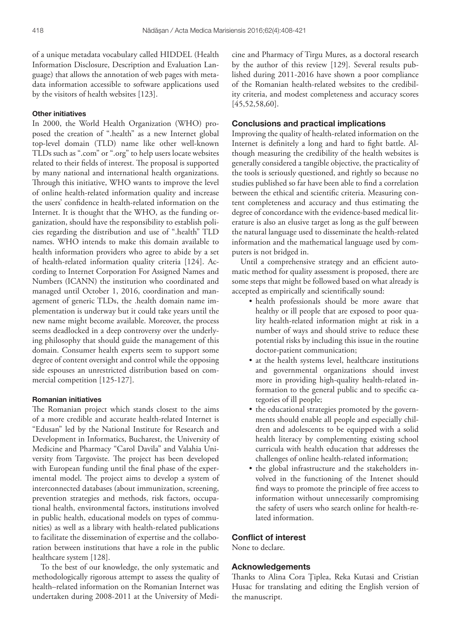of a unique metadata vocabulary called HIDDEL (Health Information Disclosure, Description and Evaluation Language) that allows the annotation of web pages with metadata information accessible to software applications used by the visitors of health websites [123].

## Other initiatives

In 2000, the World Health Organization (WHO) proposed the creation of ".health" as a new Internet global top-level domain (TLD) name like other well-known TLDs such as ".com" or ".org" to help users locate websites related to their fields of interest. The proposal is supported by many national and international health organizations. Through this initiative, WHO wants to improve the level of online health-related information quality and increase the users' confidence in health-related information on the Internet. It is thought that the WHO, as the funding organization, should have the responsibility to establish policies regarding the distribution and use of ".health" TLD names. WHO intends to make this domain available to health information providers who agree to abide by a set of health-related information quality criteria [124]. According to Internet Corporation For Assigned Names and Numbers (ICANN) the institution who coordinated and managed until October 1, 2016, coordination and management of generic TLDs, the .health domain name implementation is underway but it could take years until the new name might become available. Moreover, the process seems deadlocked in a deep controversy over the underlying philosophy that should guide the management of this domain. Consumer health experts seem to support some degree of content oversight and control while the opposing side espouses an unrestricted distribution based on commercial competition [125-127].

#### Romanian initiatives

The Romanian project which stands closest to the aims of a more credible and accurate health-related Internet is "Edusan" led by the National Institute for Research and Development in Informatics, Bucharest, the University of Medicine and Pharmacy "Carol Davila" and Valahia University from Targoviste. The project has been developed with European funding until the final phase of the experimental model. The project aims to develop a system of interconnected databases (about immunization, screening, prevention strategies and methods, risk factors, occupational health, environmental factors, institutions involved in public health, educational models on types of communities) as well as a library with health-related publications to facilitate the dissemination of expertise and the collaboration between institutions that have a role in the public healthcare system [128].

To the best of our knowledge, the only systematic and methodologically rigorous attempt to assess the quality of health–related information on the Romanian Internet was undertaken during 2008-2011 at the University of Medicine and Pharmacy of Tirgu Mures, as a doctoral research by the author of this review [129]. Several results published during 2011-2016 have shown a poor compliance of the Romanian health-related websites to the credibility criteria, and modest completeness and accuracy scores [45,52,58,60].

#### Conclusions and practical implications

Improving the quality of health-related information on the Internet is definitely a long and hard to fight battle. Although measuring the credibility of the health websites is generally considered a tangible objective, the practicality of the tools is seriously questioned, and rightly so because no studies published so far have been able to find a correlation between the ethical and scientific criteria. Measuring content completeness and accuracy and thus estimating the degree of concordance with the evidence-based medical literature is also an elusive target as long as the gulf between the natural language used to disseminate the health-related information and the mathematical language used by computers is not bridged in.

Until a comprehensive strategy and an efficient automatic method for quality assessment is proposed, there are some steps that might be followed based on what already is accepted as empirically and scientifically sound:

- health professionals should be more aware that healthy or ill people that are exposed to poor quality health-related information might at risk in a number of ways and should strive to reduce these potential risks by including this issue in the routine doctor-patient communication;
- at the health systems level, healthcare institutions and governmental organizations should invest more in providing high-quality health-related information to the general public and to specific categories of ill people;
- the educational strategies promoted by the governments should enable all people and especially children and adolescents to be equipped with a solid health literacy by complementing existing school curricula with health education that addresses the challenges of online health-related information;
- the global infrastructure and the stakeholders involved in the functioning of the Intenet should find ways to promote the principle of free access to information without unnecessarily compromising the safety of users who search online for health-related information.

#### Conflict of interest

None to declare.

## Acknowledgements

Thanks to Alina Cora Ţiplea, Reka Kutasi and Cristian Husac for translating and editing the English version of the manuscript.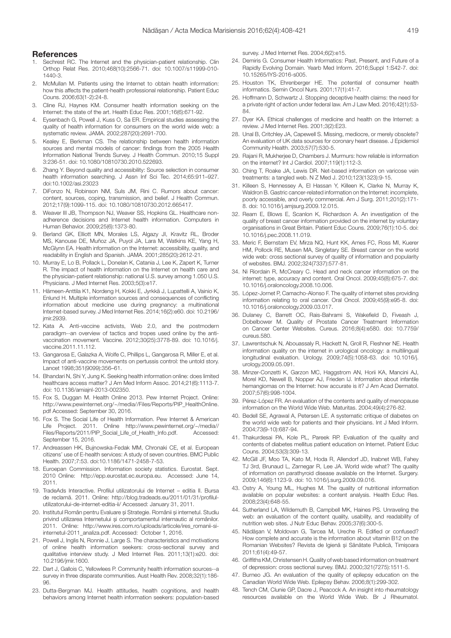#### **References**

- 1. Sechrest RC. The Internet and the physician-patient relationship. Clin Orthop Relat Res. 2010;468(10):2566-71. doi: 10.1007/s11999-010- 1440-3.
- 2. McMullan M. Patients using the Internet to obtain health information: how this affects the patient-health professional relationship. Patient Educ Couns. 2006;63(1-2):24-8.
- Cline RJ, Haynes KM. Consumer health information seeking on the Internet: the state of the art. Health Educ Res. 2001;16(6):671-92.
- 4. Eysenbach G, Powell J, Kuss O, Sa ER. Empirical studies assessing the quality of health information for consumers on the world wide web: a systematic review. JAMA. 2002;287(20):2691-700.
- 5. Kealey E, Berkman CS. The relationship between health information sources and mental models of cancer: findings from the 2005 Health Information National Trends Survey. J Health Commun. 2010;15 Suppl 3:236-51. doi: 10.1080/10810730.2010.522693.
- Zhang Y. Beyond quality and accessibility: Source selection in consumer health information searching. J Assn Inf Sci Tec. 2014;65:911–927. doi:10.1002/asi.23023
- DiFonzo N, Robinson NM, Suls JM, Rini C. Rumors about cancer: content, sources, coping, transmission, and belief. J Health Commun. 2012;17(9):1099-115. doi: 10.1080/10810730.2012.665417.
- 8. Weaver III JB, Thompson NJ, Weaver SS, Hopkins GL, Healthcare nonadherence decisions and Internet health information. Computers in Human Behavior. 2009;25(6):1373-80.
- 9. Berland GK, Elliott MN, Morales LS, Algazy JI, Kravitz RL, Broder MS, Kanouse DE, Muñoz JA, Puyol JA, Lara M, Watkins KE, Yang H, McGlynn EA. Health information on the Internet: accessibility, quality, and readability in English and Spanish. JAMA. 2001;285(20):2612-21.
- 10. Murray E, Lo B, Pollack L, Donelan K, Catania J, Lee K, Zapert K, Turner R. The impact of health information on the Internet on health care and the physician-patient relationship: national U.S. survey among 1.050 U.S. Physicians. J Med Internet Res. 2003;5(3):e17.
- 11. Hämeen-Anttila K1, Nordeng H, Kokki E, Jyrkkä J, Lupattelli A, Vainio K, Enlund H. Multiple information sources and consequences of conflicting information about medicine use during pregnancy: a multinational Internet-based survey. J Med Internet Res. 2014;16(2):e60. doi: 10.2196/ imir.2939
- 12. Kata A. Anti-vaccine activists, Web 2.0, and the postmodern paradigm--an overview of tactics and tropes used online by the antivaccination movement. Vaccine. 2012;30(25):3778-89. doi: 10.1016/j. vaccine.2011.11.112.
- 13. Gangarosa E, Galazka A, Wolfe C, Phillips L, Gangarosa R, Miller E, et al. Impact of anti-vaccine movements on pertussis control: the untold story. Lancet 1998;351(9099):356–61.
- 14. Bhandari N, Shi Y, Jung K. Seeking health information online: does limited healthcare access matter? J Am Med Inform Assoc. 2014;21(6):1113-7. doi: 10.1136/amiajnl-2013-002350.
- 15. Fox S, Duggan M. Health Online 2013. Pew Internet Project. Online: http://www.pewinternet.org/~/media//Files/Reports/PIP\_HealthOnline. pdf Accessed: September 30, 2016.
- 16. Fox S. The Social Life of Health Information. Pew Internet & American Life Project. 2011. Online http://www.pewinternet.org/~/media// Files/Reports/2011/PIP\_Social\_Life\_of\_Health\_Info.pdf. Accessed: September 15, 2016.
- 17. Andreassen HK, Bujnowska-Fedak MM, Chronaki CE, et al. European citizens' use of E-health services: A study of seven countries. BMC Public Health. 2007;7:53. doi:10.1186/1471-2458-7-53.
- 18. Euroepan Commission. Information society statistics. Eurostat. Sept. 2010 Online: http://epp.eurostat.ec.europa.eu. Accessed: June 14, 2011.
- 19. TradeAds Interactive. Profilul utilizatorului de Internet editia II. Bursa de reclamă. 2011. Online: http://blog.tradeads.eu/2011/01/31/profilulutilizatorului-de-internet-editia-ii/ Accessed: January 31, 2011.
- 20. Institutul Român pentru Evaluare şi Strategie. Românii şi internetul. Studiu privind utilizarea Internetului şi comportamentul internautic al românilor. 2011. Online: http://www.ires.com.ro/uploads/articole/ires\_romanii-siinternetul-2011\_analiza.pdf. Accessed: October 1, 2016.
- 21. Powell J, Inglis N, Ronnie J, Large S. The characteristics and motivations of online health information seekers: cross-sectional survey and qualitative interview study. J Med Internet Res. 2011;13(1):e20. doi: 10.2196/jmir.1600.
- 22. Dart J, Gallois C, Yellowlees P. Community health information sources--a survey in three disparate communities. Aust Health Rev. 2008;32(1):186- 96.
- 23. Dutta-Bergman MJ. Health attitudes, health cognitions, and health behaviors among Internet health information seekers: population-based

survey. J Med Internet Res. 2004;6(2):e15.

- 24. Demiris G. Consumer Health Informatics: Past, Present, and Future of a Rapidly Evolving Domain. Yearb Med Inform. 2016;Suppl 1:S42-7. doi: 10.15265/IYS-2016-s005.
- 25. Houston TK, Ehrenberger HE. The potential of consumer health informatics. Semin Oncol Nurs. 2001;17(1):41-7.
- 26. Hoffmann D, Schwartz J. Stopping deceptive health claims: the need for a private right of action under federal law. Am J Law Med. 2016;42(1):53- 84.
- 27. Dyer KA. Ethical challenges of medicine and health on the Internet: a review. J Med Internet Res. 2001;3(2):E23.
- 28. Unal B, Critchley JA, Capewell S. Missing, mediocre, or merely obsolete? An evaluation of UK data sources for coronary heart disease. J Epidemiol Community Health. 2003;57(7):530-5.
- 29. Rajani R, Mukherjee D, Chambers J. Murmurs: how reliable is information on the internet? Int J Cardiol. 2007;119(1):112-3.
- 30. Ching T, Roake JA, Lewis DR. Net-based information on varicose vein treatments: a tangled web. N Z Med J. 2010;123(1323):9-15.
- 31. Killeen S, Hennessey A, El Hassan Y, Killeen K, Clarke N, Murray K, Waldron B. Gastric cancer-related information on the Internet: incomplete, poorly accessible, and overly commercial. Am J Surg. 2011;201(2):171- 8. doi: 10.1016/j.amjsurg.2009.12.015.
- 32. Ream E, Blows E, Scanlon K, Richardson A. An investigation of the quality of breast cancer information provided on the internet by voluntary organisations in Great Britain. Patient Educ Couns. 2009;76(1):10-5. doi: 10.1016/j.pec.2008.11.019.
- 33. Meric F, Bernstam EV, Mirza NQ, Hunt KK, Ames FC, Ross MI, Kuerer HM, Pollock RE, Musen MA, Singletary SE. Breast cancer on the world wide web: cross sectional survey of quality of information and popularity of websites. BMJ. 2002;324(7337):577-81.
- 34. Ni Riordain R, McCreary C. Head and neck cancer information on the internet: type, accuracy and content. Oral Oncol. 2009;45(8):675-7. doi: 10.1016/j.oraloncology.2008.10.006.
- 35. López-Jornet P, Camacho-Alonso F. The quality of internet sites providing information relating to oral cancer. Oral Oncol. 2009;45(9):e95-8. doi: 10.1016/j.oraloncology.2009.03.017.
- 36. Dulaney C, Barrett OC, Rais-Bahrami S, Wakefield D, Fiveash J, Dobelbower M. Quality of Prostate Cancer Treatment Information on Cancer Center Websites. Cureus. 2016;8(4):e580. doi: 10.7759/ cureus.580.
- 37. Lawrentschuk N, Abouassaly R, Hackett N, Groll R, Fleshner NE. Health information quality on the internet in urological oncology: a multilingual longitudinal evaluation. Urology. 2009;74(5):1058-63. doi: 10.1016/j. urology.2009.05.091.
- 38. Minzer-Conzetti K, Garzon MC, Haggstrom AN, Horii KA, Mancini AJ, Morel KD, Newell B, Nopper AJ, Frieden IJ. Information about infantile hemangiomas on the Internet: how accurate is it? J Am Acad Dermatol. 2007;57(6):998-1004.
- 39. Pérez-López FR. An evaluation of the contents and quality of menopause information on the World Wide Web. Maturitas. 2004;49(4):276-82.
- 40. Bedell SE, Agrawal A, Petersen LE. A systematic critique of diabetes on the world wide web for patients and their physicians. Int J Med Inform. 2004;73(9-10):687-94.
- 41. Thakurdesai PA, Kole PL, Pareek RP. Evaluation of the quality and contents of diabetes mellitus patient education on Internet. Patient Educ Couns. 2004;53(3):309-13.
- 42. McGill JF, Moo TA, Kato M, Hoda R, Allendorf JD, Inabnet WB, Fahey TJ 3rd, Brunaud L, Zarnegar R, Lee JA. World wide what? The quality of information on parathyroid disease available on the Internet. Surgery. 2009;146(6):1123-9. doi: 10.1016/j.surg.2009.09.016.
- 43. Ostry A, Young ML, Hughes M. The quality of nutritional information available on popular websites: a content analysis. Health Educ Res. 2008;23(4):648-55.
- 44. Sutherland LA, Wildemuth B, Campbell MK, Haines PS. Unraveling the web: an evaluation of the content quality, usability, and readability of nutrition web sites. J Nutr Educ Behav. 2005;37(6):300-5.
- 45. Nădăşan V, Moldovan G, Tarcea M, Ureche R. Edified or confused? How complete and accurate is the information about vitamin B12 on the Romanian Websites? Revista de Igienă şi Sănătate Publică, Timişoara 2011;61(4):49-57.
- 46. Griffiths KM, Christensen H. Quality of web based information on treatment of depression: cross sectional survey. BMJ. 2000;321(7275):1511-5.
- 47. Burneo JG. An evaluation of the quality of epilepsy education on the Canadian World Wide Web. Epilepsy Behav. 2006;8(1):299-302.
- 48. Tench CM, Clunie GP, Dacre J, Peacock A. An insight into rheumatology resources available on the World Wide Web. Br J Rheumatol.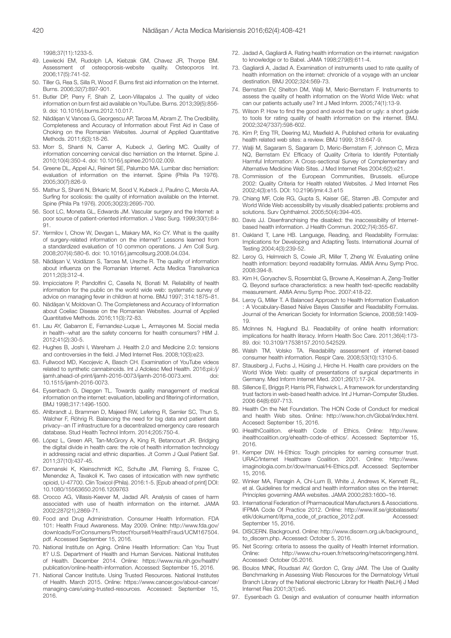1998;37(11):1233-5.

- 49. Lewiecki EM, Rudolph LA, Kiebzak GM, Chavez JR, Thorpe BM. Assessment of osteoporosis-website quality. Osteoporos Int. 2006;17(5):741-52.
- Tiller G, Rea S, Silla R, Wood F. Burns first aid information on the Internet. Burns. 2006;32(7):897-901.
- 51. Butler DP, Perry F, Shah Z, Leon-Villapalos J. The quality of video information on burn first aid available on YouTube. Burns. 2013;39(5):856- 9. doi: 10.1016/j.burns.2012.10.017.
- 52. Nădăşan V, Vancea G, Georgescu AP, Tarcea M, Abram Z. The Credibility, Completeness and Accuracy of Information about First Aid in Case of Choking on the Romanian Websites. Journal of Applied Quantitative Methods. 2011;6(3):18-26.
- 53. Morr S, Shanti N, Carrer A, Kubeck J, Gerling MC. Quality of information concerning cervical disc herniation on the Internet. Spine J. 2010;10(4):350-4. doi: 10.1016/j.spinee.2010.02.009.
- 54. Greene DL, Appel AJ, Reinert SE, Palumbo MA. Lumbar disc herniation: evaluation of information on the internet. Spine (Phila Pa 1976). 2005;30(7):826-9.
- 55. Mathur S, Shanti N, Brkaric M, Sood V, Kubeck J, Paulino C, Merola AA. Surfing for scoliosis: the quality of information available on the Internet. Spine (Phila Pa 1976). 2005;30(23):2695-700.
- Soot LC, Moneta GL, Edwards JM. Vascular surgery and the Internet: a poor source of patient-oriented information. J Vasc Surg. 1999;30(1):84- 91.
- 57. Yermilov I, Chow W, Devgan L, Makary MA, Ko CY. What is the quality of surgery-related information on the internet? Lessons learned from a standardized evaluation of 10 common operations. J Am Coll Surg. 2008;207(4):580-6. doi: 10.1016/j.jamcollsurg.2008.04.034.
- 58. Nădăşan V, Voidăzan S, Tarcea M, Ureche R. The quality of information about influenza on the Romanian Internet. Acta Medica Transilvanica 2011;2(3):312-4.
- 59. Impicciatore P, Pandolfini C, Casella N, Bonati M. Reliability of health information for the public on the world wide web: systematic survey of advice on managing fever in children at home. BMJ 1997; 314:1875–81.
- 60. Nădăşan V, Moldovan O. The Completeness and Accuracy of Information about Coeliac Disease on the Romanian Websites. Journal of Applied Quantitative Methods. 2016;11(3):72-83.
- 61. Lau AY, Gabarron E, Fernandez-Luque L, Armayones M. Social media in health--what are the safety concerns for health consumers? HIM J. 2012;41(2):30-5.
- 62. Hughes B, Joshi I, Wareham J. Health 2.0 and Medicine 2.0: tensions and controversies in the field. J Med Internet Res. 2008;10(3):e23.
- 63. Fullwood MD, Kecojevic A, Basch CH. Examination of YouTube videos related to synthetic cannabinoids. Int J Adolesc Med Health. 2016;pii:/j/ ijamh.ahead-of-print/ijamh-2016-0073/ijamh-2016-0073.xml. doi: 10.1515/ijamh-2016-0073.
- 64. Eysenbach G, Diepgen TL. Towards quality management of medical information on the internet: evaluation, labelling and filtering of information, BMJ 1998;317:1496-1500.
- 65. Ahlbrandt J, Brammen D, Majeed RW, Lefering R, Semler SC, Thun S, Walcher F, Röhrig R. Balancing the need for big data and patient data privacy--an IT infrastructure for a decentralized emergency care research database. Stud Health Technol Inform. 2014;205:750-4.
- 66. López L, Green AR, Tan-McGrory A, King R, Betancourt JR. Bridging the digital divide in health care: the role of health information technology in addressing racial and ethnic disparities. Jt Comm J Qual Patient Saf. 2011;37(10):437-45.
- 67. Domanski K, Kleinschmidt KC, Schulte JM, Fleming S, Frazee C, Menendez A, Tavakoli K. Two cases of intoxication with new synthetic opioid, U-47700. Clin Toxicol (Phila). 2016:1-5. [Epub ahead of print] DOI: 10.1080/15563650.2016.1209763
- 68. Crocco AG, Villasis-Keever M, Jadad AR. Analysis of cases of harm associated with use of health information on the internet. JAMA 2002;287(21),2869-71.
- 69. Food and Drug Administration. Consumer Health Information. FDA 101: Health Fraud Awareness. May 2009. Online: http://www.fda.gov/ downloads/ForConsumers/ProtectYourself/HealthFraud/UCM167504. pdf. Accessed September 15, 2016.
- 70. National Institute on Aging. Online Health Information: Can You Trust It? U.S. Department of Health and Human Services. National Institutes of Health. December 2014. Online: https://www.nia.nih.gov/health/ publication/online-health-information. Accessed: September 15, 2016.
- 71. National Cancer Institute. Using Trusted Resources. National Institutes of Health. March 2015. Online: https://www.cancer.gov/about-cancer/ managing-care/using-trusted-resources. Accessed: September 15, 2016.
- 72. Jadad A, Gagliardi A. Rating health information on the internet: navigation to knowledge or to Babel. JAMA 1998;279(8):611-4.
- 73. Gagliardi A, Jadad A. Examination of instruments used to rate quality of health information on the internet: chronicle of a voyage with an unclear destination. BMJ 2002;324:569-73.
- 74. Bernstam EV, Shelton DM, Walji M, Meric-Bernstam F. Instruments to assess the quality of health information on the World Wide Web: what can our patients actually use? Int J Med Inform. 2005;74(1):13-9.
- 75. Wilson P. How to find the good and avoid the bad or ugly: a short guide to tools for rating quality of health information on the internet. BMJ. 2002;324(7337):598-602.
- 76. Kim P, Eng TR, Deering MJ, Maxfield A. Published criteria for evaluating health related web sites: a review. BMJ 1999; 318:647-9.
- 77. Walji M, Sagaram S, Sagaram D, Meric-Bernstam F, Johnson C, Mirza NQ, Bernstam EV. Efficacy of Quality Criteria to Identify Potentially Harmful Information: A Cross-sectional Survey of Complementary and Alternative Medicine Web Sites. J Med Internet Res 2004;6(2):e21.
- 78. Commission of the European Communities, Brussels. eEurope 2002: Quality Criteria for Health related Websites. J Med Internet Res 2002;4(3):e15. DOI: 10.2196/jmir.4.3.e15
- 79. Chiang MF, Cole RG, Gupta S, Kaiser GE, Starren JB. Computer and World Wide Web accessibility by visually disabled patients: problems and solutions. Surv Ophthalmol. 2005;50(4):394-405.
- 80. Davis JJ. Disenfranchising the disabled: the inaccessibility of Internetbased health information. J Health Commun. 2002;7(4):355-67.
- 81. Oakland T, Lane HB. Language, Reading, and Readability Formulas: Implications for Developing and Adapting Tests. International Journal of Testing 2004;4(3):239-52.
- 82. Leroy G, Helmreich S, Cowie JR, Miller T, Zheng W. Evaluating online health information: beyond readability formulas. AMIA Annu Symp Proc. 2008:394-8.
- 83. Kim H, Goryachev S, Rosemblat G, Browne A, Keselman A, Zeng-Treitler Q. Beyond surface characteristics: a new health text-specific readability measurement. AMIA Annu Symp Proc. 2007:418-22.
- 84. Leroy G, Miller T. A Balanced Approach to Health Information Evaluation : A Vocabulary-Based Naïve Bayes Classifier and Readability Formulas. Journal of the American Society for Information Science, 2008;59:1409- 19.
- 85. McInnes N, Haglund BJ. Readability of online health information: implications for health literacy. Inform Health Soc Care. 2011;36(4):173- 89. doi: 10.3109/17538157.2010.542529.
- 86. Walsh TM, Volsko TA. Readability assessment of internet-based consumer health information. Respir Care. 2008;53(10):1310-5.
- 87. Stausberg J, Fuchs J, Hüsing J, Hirche H. Health care providers on the World Wide Web: quality of presentations of surgical departments in Germany. Med Inform Internet Med. 2001;26(1):17-24.
- 88. Sillence E, Briggs P, Harris PR, Fishwick L. A framework for understanding trust factors in web-based health advice. Int J Human-Computer Studies. 2006 64(8):697-713.
- 89. Health On the Net Foundation. The HON Code of Conduct for medical and health Web sites. Online: http://www.hon.ch/Global/index.html. Accesed: September 15, 2016.
- 90. iHealthCoalition. eHealth Code of Ethics. Online: http://www. ihealthcoalition.org/ehealth-code-of-ethics/. Accessed: September 15, 2016.
- 91. Kemper DW. Hi-Ethics: Tough principles for earning consumer trust. URAC/Internet Healthcare Coalition. 2001. Online: http://www. imaginologia.com.br/dow/manual/Hi-Ethics.pdf. Accessed: September 15, 2016.
- 92. Winker MA, Flanagin A, Chi-Lum B, White J, Andrews K, Kennett RL, et al. Guidelines for medical and health information sites on the Internet: Principles governing AMA websites. JAMA 2000;283:1600–16.
- 93. International Federation of Pharmaceutical Manufacturers & Associations. IFPMA Code Of Practice 2012. Online: http://www.lif.se/globalassets/ etik/dokument/ifpma\_code\_of\_practice\_2012.pdf. Accessed: September 15, 2016.
- 94. DISCERN. Background. Online: http://www.discern.org.uk/background\_ to\_discern.php. Accessed: October 5, 2016.
- 95. Net Scoring: criteria to assess the quality of Health Internet information. Online: http://www.chu-rouen.fr/netscoring/netscoringeng.html. Accessed: October 05.2016.
- 96. Boulos MNK, Roudsari AV, Gordon C, Gray JAM. The Use of Quality Benchmarking in Assessing Web Resources for the Dermatology Virtual Branch Library of the National electronic Library for Health (NeLH) J Med Internet Res 2001;3(1):e5.
- 97. Eysenbach G. Design and evaluation of consumer health information